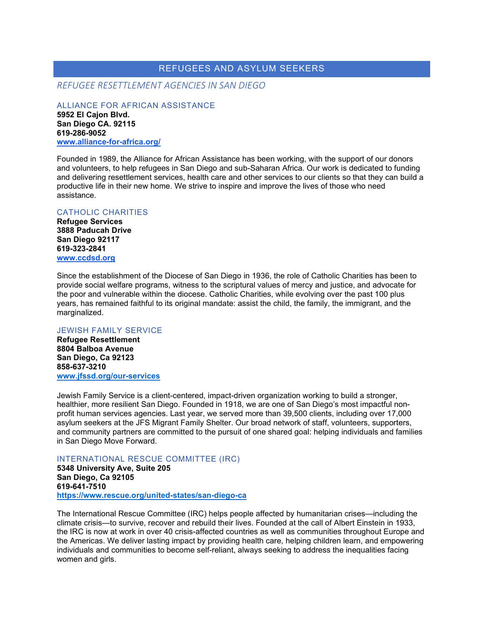# REFUGEES AND ASYLUM SEEKERS

*REFUGEE RESETTLEMENT AGENCIES IN SAN DIEGO*

ALLIANCE FOR AFRICAN ASSISTANCE **5952 El Cajon Blvd. San Diego CA. 92115 619-286-9052 [www.alliance-for-africa.org/](https://alliance-for-africa.org/)**

Founded in 1989, the Alliance for African Assistance has been working, with the support of our donors and volunteers, to help refugees in San Diego and sub-Saharan Africa. Our work is dedicated to funding and delivering resettlement services, health care and other services to our clients so that they can build a productive life in their new home. We strive to inspire and improve the lives of those who need assistance.

### CATHOLIC CHARITIES

**Refugee Services 3888 Paducah Drive San Diego 92117 619-323-2841 [www.ccdsd.org](http://www.ccdsd.org/)**

Since the establishment of the Diocese of San Diego in 1936, the role of Catholic Charities has been to provide social welfare programs, witness to the scriptural values of mercy and justice, and advocate for the poor and vulnerable within the diocese. Catholic Charities, while evolving over the past 100 plus years, has remained faithful to its original mandate: assist the child, the family, the immigrant, and the marginalized.

# JEWISH FAMILY SERVICE

**Refugee Resettlement 8804 Balboa Avenue San Diego, Ca 92123 858-637-3210 [www.jfssd.org/our-services](http://www.jfssd.org/our-services)**

Jewish Family Service is a client-centered, impact-driven organization working to build a stronger, healthier, more resilient San Diego. Founded in 1918, we are one of San Diego's most impactful nonprofit human services agencies. Last year, we served more than 39,500 clients, including over 17,000 asylum seekers at the JFS Migrant Family Shelter. Our broad network of staff, volunteers, supporters, and community partners are committed to the pursuit of one shared goal: helping individuals and families in San Diego Move Forward.

### INTERNATIONAL RESCUE COMMITTEE (IRC)

**5348 University Ave, Suite 205 San Diego, Ca 92105 619-641-7510 <https://www.rescue.org/united-states/san-diego-ca>**

The International Rescue Committee (IRC) helps people affected by humanitarian crises—including the climate crisis—to survive, recover and rebuild their lives. Founded at the call of Albert Einstein in 1933, the IRC is now at work in over 40 crisis-affected countries as well as communities throughout Europe and the Americas. We deliver lasting impact by providing health care, helping children learn, and empowering individuals and communities to become self-reliant, always seeking to address the inequalities facing women and girls.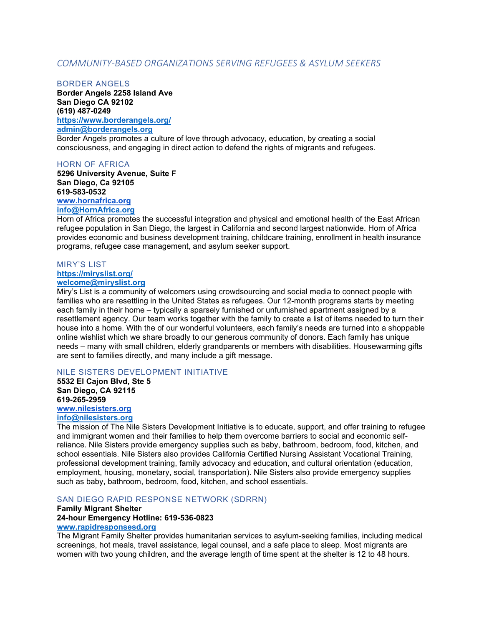# *COMMUNITY-BASED ORGANIZATIONS SERVING REFUGEES & ASYLUM SEEKERS*

#### BORDER ANGELS

**Border Angels 2258 Island Ave San Diego CA 92102 (619) 487-0249**

**<https://www.borderangels.org/> [admin@borderangels.org](mailto:admin@borderangels.org)**

Border Angels promotes a culture of love through advocacy, education, by creating a social consciousness, and engaging in direct action to defend the rights of migrants and refugees.

#### HORN OF AFRICA

**5296 University Avenue, Suite F San Diego, Ca 92105 619-583-0532 [www.hornafrica.org](http://www.hornafrica.org/)**

### **[info@HornAfrica.org](mailto:info@HornAfrica.org)**

Horn of Africa promotes the successful integration and physical and emotional health of the East African refugee population in San Diego, the largest in California and second largest nationwide. Horn of Africa provides economic and business development training, childcare training, enrollment in health insurance programs, refugee case management, and asylum seeker support.

### MIRY'S LIST

# **<https://miryslist.org/>**

**[welcome@miryslist.org](mailto:welcome@miryslist.org)**

Miry's List is a community of welcomers using crowdsourcing and social media to connect people with families who are resettling in the United States as refugees. Our 12-month programs starts by meeting each family in their home – typically a sparsely furnished or unfurnished apartment assigned by a resettlement agency. Our team works together with the family to create a list of items needed to turn their house into a home. With the of our wonderful volunteers, each family's needs are turned into a shoppable online wishlist which we share broadly to our generous community of donors. Each family has unique needs – many with small children, elderly grandparents or members with disabilities. Housewarming gifts are sent to families directly, and many include a gift message.

#### NILE SISTERS DEVELOPMENT INITIATIVE

**5532 El Cajon Blvd, Ste 5 San Diego, CA 92115 619-265-2959**

#### **[www.nilesisters.org](http://www.nilesisters.org/) [info@nilesisters.org](mailto:info@nilesisters.org)**

The mission of The Nile Sisters Development Initiative is to educate, support, and offer training to refugee and immigrant women and their families to help them overcome barriers to social and economic selfreliance. Nile Sisters provide emergency supplies such as baby, bathroom, bedroom, food, kitchen, and school essentials. Nile Sisters also provides California Certified Nursing Assistant Vocational Training, professional development training, family advocacy and education, and cultural orientation (education, employment, housing, monetary, social, transportation). Nile Sisters also provide emergency supplies such as baby, bathroom, bedroom, food, kitchen, and school essentials.

### SAN DIEGO RAPID RESPONSE NETWORK (SDRRN)

#### **Family Migrant Shelter 24-hour Emergency Hotline: 619-536-0823 [www.rapidresponsesd.org](http://www.rapidresponsesd.org/)**

The Migrant Family Shelter provides humanitarian services to asylum-seeking families, including medical screenings, hot meals, travel assistance, legal counsel, and a safe place to sleep. Most migrants are women with two young children, and the average length of time spent at the shelter is 12 to 48 hours.